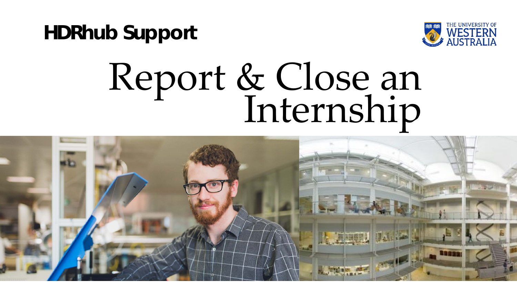**HDRhub Support**



## Report & Close an<br>Internship

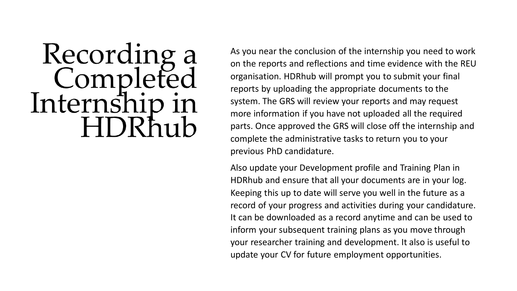## Recording a<br>Completed Internsh

As you near the conclusion of the internship you need to work on the reports and reflections and time evidence with the REU organisation. HDRhub will prompt you to submit your final reports by uploading the appropriate documents to the system. The GRS will review your reports and may request more information if you have not uploaded all the required parts. Once approved the GRS will close off the internship and complete the administrative tasks to return you to your previous PhD candidature.

Also update your Development profile and Training Plan in HDRhub and ensure that all your documents are in your log. Keeping this up to date will serve you well in the future as a record of your progress and activities during your candidature. It can be downloaded as a record anytime and can be used to inform your subsequent training plans as you move through your researcher training and development. It also is useful to update your CV for future employment opportunities.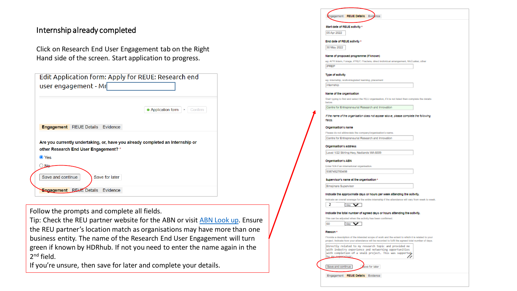## Internship already completed

Click on Research End User Engagement tab on the Right Hand side of the screen. Start application to progress.

| Edit Application form: Apply for REUE: Research end<br>user engagement - Mr                                            |                             |
|------------------------------------------------------------------------------------------------------------------------|-----------------------------|
|                                                                                                                        | Application form<br>Confirm |
| <b>Engagement</b> REUE Details Evidence                                                                                |                             |
| Are you currently undertaking, or, have you already completed an Internship or<br>other Research End User Engagement?* |                             |
| O Yes<br>Na                                                                                                            |                             |
| Save and continue<br>Save for later                                                                                    |                             |
| <b>REUE</b> Details<br><b>Engagement</b><br>Evidence                                                                   |                             |

Follow the prompts and complete all fields.

Tip: Check the REU partner website for the ABN or visit [ABN Look up.](https://abr.business.gov.au/) Ensure the REU partner's location match as organisations may have more than one business entity. The name of the Research End User Engagement will turn green if known by HDRhub. If not you need to enter the name again in the 2<sup>nd</sup> field.

If you're unsure, then save for later and complete your details.

| 05 Apr 2022               | Start date of REUE activity *                                                                                  |
|---------------------------|----------------------------------------------------------------------------------------------------------------|
|                           |                                                                                                                |
|                           | End date of REUE activity *                                                                                    |
| 30 May 2022               |                                                                                                                |
|                           | Name of proposed programme (if known)                                                                          |
|                           | eg: APR Intern, Forage, IPREP, Practera, direct individual arrangement, McCusker, other                        |
| <b>IPREP</b>              |                                                                                                                |
|                           |                                                                                                                |
| Type of activity          | eg: internahip, work-integrated learning, placement                                                            |
| internship                |                                                                                                                |
|                           |                                                                                                                |
| Name of the organization  |                                                                                                                |
| <b>Explorer</b>           | Start typing to find and select the REU organisation, if it is not listed then complete the details            |
|                           | Centre for Entrepreneurial Research and Innovation                                                             |
|                           | If the name of the organisation does not appear above, please complete the following                           |
| ficios.                   |                                                                                                                |
|                           |                                                                                                                |
| Organisation's name       |                                                                                                                |
|                           | Please do not abbreviate the company/organisation's name.                                                      |
|                           | Centre for Entrepreneurial Research and Innovation                                                             |
| Organisation's address    |                                                                                                                |
|                           | Level 1/22 Stirling Hwy, Nedlands WA 6009                                                                      |
|                           |                                                                                                                |
| <b>Organisation's ABN</b> | Enter N/A if an international organisation.                                                                    |
|                           |                                                                                                                |
|                           |                                                                                                                |
| 9387492783498             |                                                                                                                |
|                           | Supervisor's name at the organisation *                                                                        |
| Emajinare Supervisor      |                                                                                                                |
|                           | Indicate the approximate days or hours per week attending the activity.                                        |
|                           | Indicate an overall average for the entire internahip if the attendance will vary from week to week.           |
| 2                         | day v                                                                                                          |
|                           |                                                                                                                |
|                           | Indicate the total number of agreed days or hours attending the activity.                                      |
|                           | This can be adjusted when the activity has been confirmed.                                                     |
| 60                        | $\frac{1}{2}$ and $\frac{1}{2}$                                                                                |
| Reason*                   |                                                                                                                |
|                           | Provide a description of the intended scope of work and the extent to which it is related to your              |
|                           | project. Indicate how your attendance will be recorded to fulfil the agreed total number of days.              |
|                           | Directly related to my research topic and provided me<br>with industry experience and networking opportunities |
| by my sunomylson.         | with completion of a small project. This was supported                                                         |
|                           |                                                                                                                |
| Save and continue         | Zave for later                                                                                                 |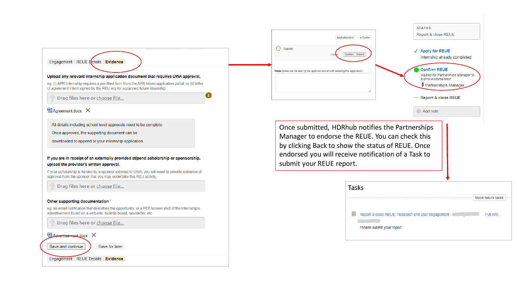